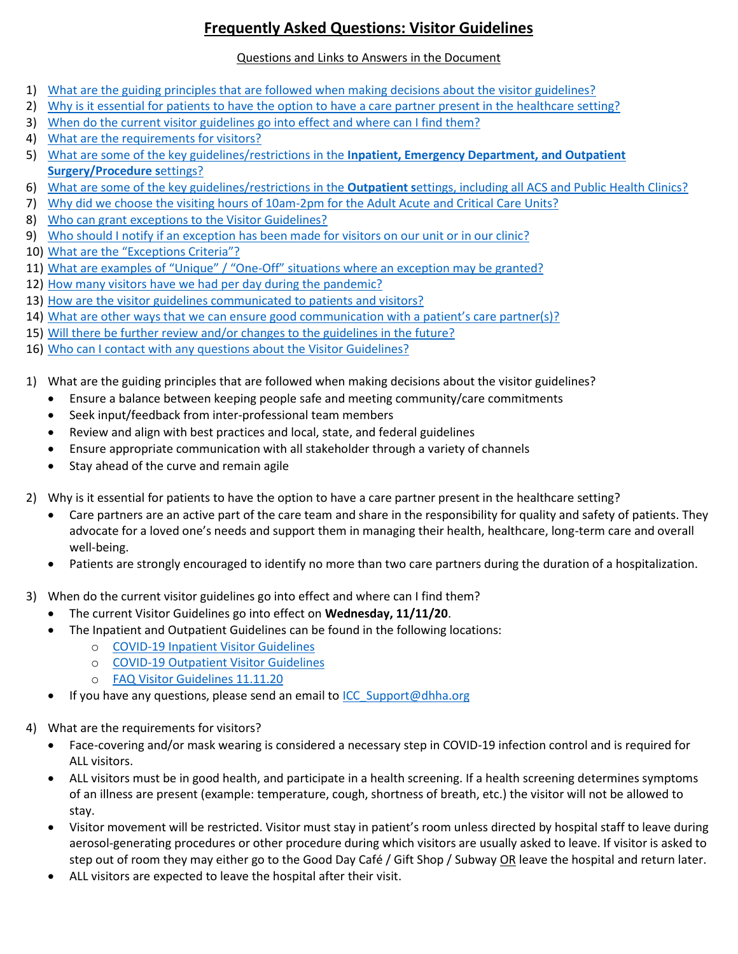## **Frequently Asked Questions: Visitor Guidelines**

## Questions and Links to Answers in the Document

- 1) [What are the guiding principles that are followed when making decisions about the visitor guidelines?](#page-0-0)
- 2) Why is it essential for patients to have the [option to have a care partner present in the healthcare setting?](#page-0-1)
- 3) [When do the current visitor guidelines go into effect and where can I find them?](#page-0-2)
- 4) [What are the requirements for visitors?](#page-0-3)
- 5) [What are some of the key guidelines/restrictions in the](#page-1-0) **Inpatient, Emergency Department, and Outpatient [Surgery/Procedure s](#page-1-0)**ettings?
- 6) What are some of the key guidelines/restrictions in the **Outpatient s**ettings, including all ACS and Public Health Clinics?
- 7) [Why did we choose the visiting hours of 10am-2pm for the Adult Acute and Critical Care Units?](#page-2-0)
- 8) [Who can grant exceptions to the Visitor Guidelines?](#page-2-1)
- 9) [Who should I notify if an exception has been made for visitors on our unit or in our clinic?](#page-2-2)
- 10) [What are the "Exceptions Criteria"?](#page-2-3)
- 11) What are examples of "Unique" / "One-[Off" situations where an exception may be granted?](#page-3-0)
- 12) [How many visitors have we had per day during the pandemic?](#page-3-1)
- 13) [How are the visitor guidelines communicated to patients and visitors?](#page-3-2)
- 14) [What are other ways that we can ensure good communication with a patient's care partner\(s\)?](#page-3-3)
- 15) [Will there be further review and/or changes to the guidelines in the future?](#page-3-4)
- 16) [Who can I contact with any questions about the Visitor Guidelines?](#page-3-5)
- <span id="page-0-0"></span>1) What are the guiding principles that are followed when making decisions about the visitor guidelines?
	- Ensure a balance between keeping people safe and meeting community/care commitments
	- Seek input/feedback from inter-professional team members
	- Review and align with best practices and local, state, and federal guidelines
	- Ensure appropriate communication with all stakeholder through a variety of channels
	- Stay ahead of the curve and remain agile
- <span id="page-0-1"></span>2) Why is it essential for patients to have the option to have a care partner present in the healthcare setting?
	- Care partners are an active part of the care team and share in the responsibility for quality and safety of patients. They advocate for a loved one's needs and support them in managing their health, healthcare, long-term care and overall well-being.
	- Patients are strongly encouraged to identify no more than two care partners during the duration of a hospitalization.
- <span id="page-0-2"></span>3) When do the current visitor guidelines go into effect and where can I find them?
	- The current Visitor Guidelines go into effect on **Wednesday, 11/11/20**.
	- The Inpatient and Outpatient Guidelines can be found in the following locations:
		- o [COVID-19 Inpatient Visitor Guidelines](http://info.denverhealth.org/en/articles/4375230-inpatient-visitor-guidelines)
			- o [COVID-19 Outpatient Visitor Guidelines](http://info.denverhealth.org/en/articles/4613521-outpatient-visitor-information)
		- o [FAQ Visitor Guidelines 11.11.20](http://info.denverhealth.org/en/articles/4613639-visitor-guidelines-faq)
	- If you have any questions, please send an email to [ICC\\_Support@dhha.org](mailto:ICC_Support@dhha.org)
- <span id="page-0-3"></span>4) What are the requirements for visitors?
	- Face-covering and/or mask wearing is considered a necessary step in COVID-19 infection control and is required for ALL visitors.
	- ALL visitors must be in good health, and participate in a health screening. If a health screening determines symptoms of an illness are present (example: temperature, cough, shortness of breath, etc.) the visitor will not be allowed to stay.
	- Visitor movement will be restricted. Visitor must stay in patient's room unless directed by hospital staff to leave during aerosol-generating procedures or other procedure during which visitors are usually asked to leave. If visitor is asked to step out of room they may either go to the Good Day Café / Gift Shop / Subway OR leave the hospital and return later.
	- ALL visitors are expected to leave the hospital after their visit.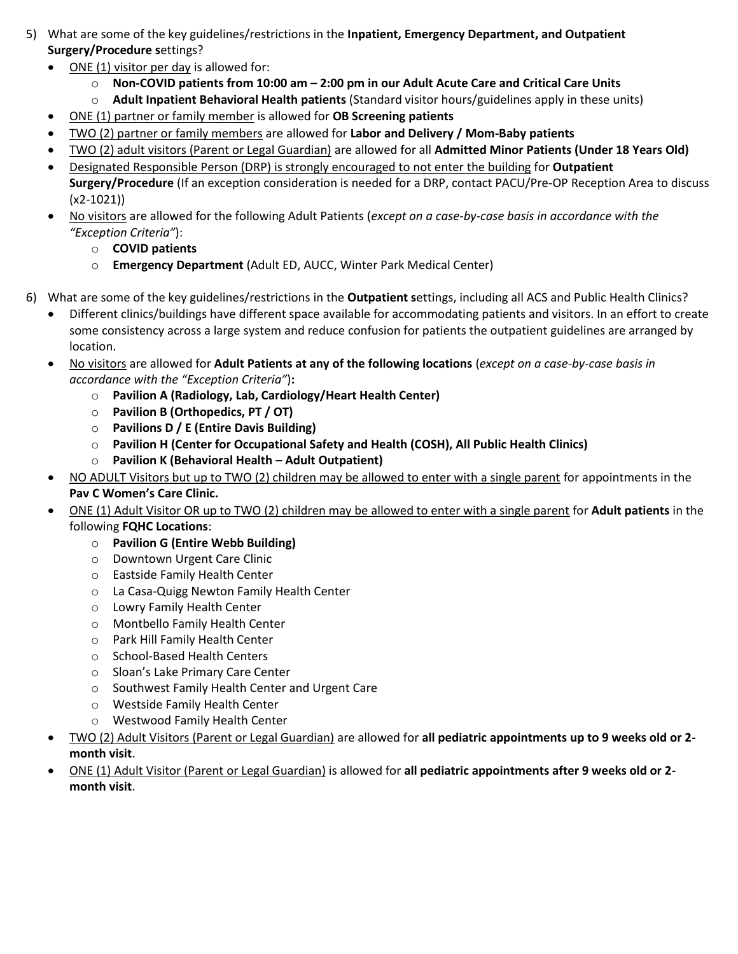- <span id="page-1-0"></span>5) What are some of the key guidelines/restrictions in the **Inpatient, Emergency Department, and Outpatient Surgery/Procedure s**ettings?
	- ONE (1) visitor per day is allowed for:
		- o **Non-COVID patients from 10:00 am – 2:00 pm in our Adult Acute Care and Critical Care Units**
		- o **Adult Inpatient Behavioral Health patients** (Standard visitor hours/guidelines apply in these units)
	- ONE (1) partner or family member is allowed for **OB Screening patients**
	- TWO (2) partner or family members are allowed for **Labor and Delivery / Mom-Baby patients**
	- TWO (2) adult visitors (Parent or Legal Guardian) are allowed for all **Admitted Minor Patients (Under 18 Years Old)**
	- Designated Responsible Person (DRP) is strongly encouraged to not enter the building for **Outpatient Surgery/Procedure** (If an exception consideration is needed for a DRP, contact PACU/Pre-OP Reception Area to discuss (x2-1021))
	- No visitors are allowed for the following Adult Patients (*except on a case-by-case basis in accordance with the "Exception Criteria"*):
		- o **COVID patients**
		- o **Emergency Department** (Adult ED, AUCC, Winter Park Medical Center)
- 6) What are some of the key guidelines/restrictions in the **Outpatient s**ettings, including all ACS and Public Health Clinics?
	- Different clinics/buildings have different space available for accommodating patients and visitors. In an effort to create some consistency across a large system and reduce confusion for patients the outpatient guidelines are arranged by location.
	- No visitors are allowed for **Adult Patients at any of the following locations** (*except on a case-by-case basis in accordance with the "Exception Criteria"*)**:** 
		- o **Pavilion A (Radiology, Lab, Cardiology/Heart Health Center)**
		- o **Pavilion B (Orthopedics, PT / OT)**
		- o **Pavilions D / E (Entire Davis Building)**
		- o **Pavilion H (Center for Occupational Safety and Health (COSH), All Public Health Clinics)**
		- o **Pavilion K (Behavioral Health – Adult Outpatient)**
	- NO ADULT Visitors but up to TWO (2) children may be allowed to enter with a single parent for appointments in the **Pav C Women's Care Clinic.**
	- ONE (1) Adult Visitor OR up to TWO (2) children may be allowed to enter with a single parent for **Adult patients** in the following **FQHC Locations**:
		- o **Pavilion G (Entire Webb Building)**
		- o Downtown Urgent Care Clinic
		- o Eastside Family Health Center
		- o La Casa-Quigg Newton Family Health Center
		- o Lowry Family Health Center
		- o Montbello Family Health Center
		- o Park Hill Family Health Center
		- o School-Based Health Centers
		- o Sloan's Lake Primary Care Center
		- o Southwest Family Health Center and Urgent Care
		- o Westside Family Health Center
		- o Westwood Family Health Center
	- TWO (2) Adult Visitors (Parent or Legal Guardian) are allowed for **all pediatric appointments up to 9 weeks old or 2 month visit**.
	- ONE (1) Adult Visitor (Parent or Legal Guardian) is allowed for **all pediatric appointments after 9 weeks old or 2 month visit**.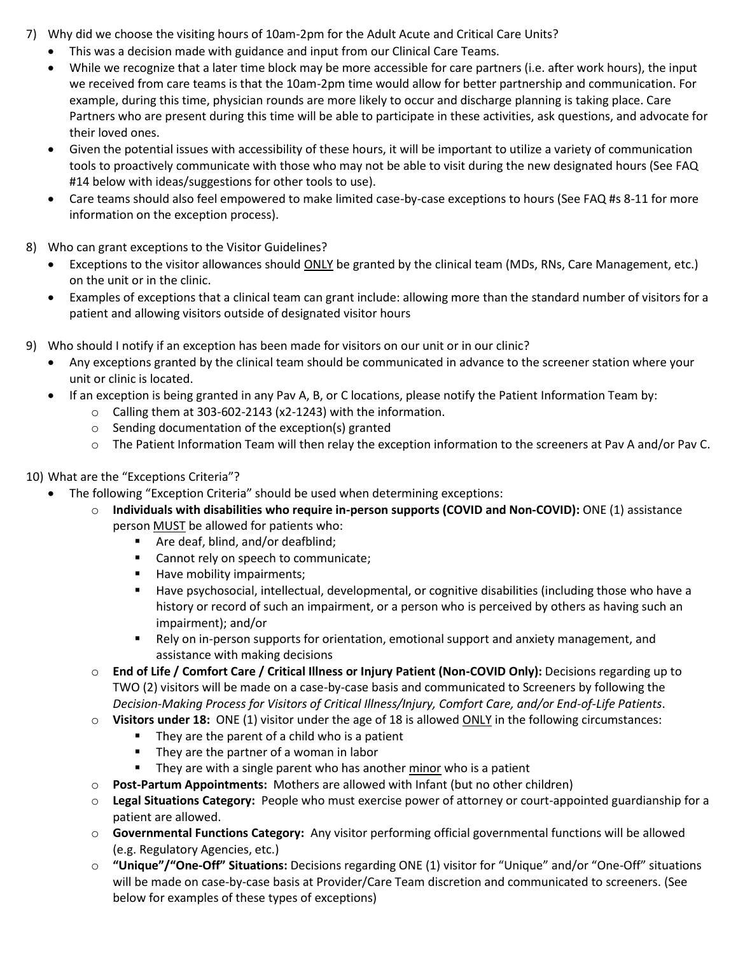- <span id="page-2-0"></span>7) Why did we choose the visiting hours of 10am-2pm for the Adult Acute and Critical Care Units?
	- This was a decision made with guidance and input from our Clinical Care Teams.
	- While we recognize that a later time block may be more accessible for care partners (i.e. after work hours), the input we received from care teams is that the 10am-2pm time would allow for better partnership and communication. For example, during this time, physician rounds are more likely to occur and discharge planning is taking place. Care Partners who are present during this time will be able to participate in these activities, ask questions, and advocate for their loved ones.
	- Given the potential issues with accessibility of these hours, it will be important to utilize a variety of communication tools to proactively communicate with those who may not be able to visit during the new designated hours (See FAQ #14 below with ideas/suggestions for other tools to use).
	- Care teams should also feel empowered to make limited case-by-case exceptions to hours (See FAQ #s 8-11 for more information on the exception process).
- <span id="page-2-1"></span>8) Who can grant exceptions to the Visitor Guidelines?
	- Exceptions to the visitor allowances should ONLY be granted by the clinical team (MDs, RNs, Care Management, etc.) on the unit or in the clinic.
	- Examples of exceptions that a clinical team can grant include: allowing more than the standard number of visitors for a patient and allowing visitors outside of designated visitor hours
- <span id="page-2-2"></span>9) Who should I notify if an exception has been made for visitors on our unit or in our clinic?
	- Any exceptions granted by the clinical team should be communicated in advance to the screener station where your unit or clinic is located.
	- If an exception is being granted in any Pav A, B, or C locations, please notify the Patient Information Team by:
		- o Calling them at 303-602-2143 (x2-1243) with the information.
		- o Sending documentation of the exception(s) granted
		- o The Patient Information Team will then relay the exception information to the screeners at Pav A and/or Pav C.
- <span id="page-2-3"></span>10) What are the "Exceptions Criteria"?
	- The following "Exception Criteria" should be used when determining exceptions:
		- o **Individuals with disabilities who require in-person supports (COVID and Non-COVID):** ONE (1) assistance person MUST be allowed for patients who:
			- Are deaf, blind, and/or deafblind;
			- **EXEC** Cannot rely on speech to communicate;
			- Have mobility impairments;
			- Have psychosocial, intellectual, developmental, or cognitive disabilities (including those who have a history or record of such an impairment, or a person who is perceived by others as having such an impairment); and/or
			- Rely on in-person supports for orientation, emotional support and anxiety management, and assistance with making decisions
			- o **End of Life / Comfort Care / Critical Illness or Injury Patient (Non-COVID Only):** Decisions regarding up to TWO (2) visitors will be made on a case-by-case basis and communicated to Screeners by following the *Decision-Making Process for Visitors of Critical Illness/Injury, Comfort Care, and/or End-of-Life Patients*.
			- o **Visitors under 18:** ONE (1) visitor under the age of 18 is allowed ONLY in the following circumstances:
				- They are the parent of a child who is a patient
				- **They are the partner of a woman in labor**
				- They are with a single parent who has another minor who is a patient
			- o **Post-Partum Appointments:** Mothers are allowed with Infant (but no other children)
			- o **Legal Situations Category:** People who must exercise power of attorney or court-appointed guardianship for a patient are allowed.
			- o **Governmental Functions Category:** Any visitor performing official governmental functions will be allowed (e.g. Regulatory Agencies, etc.)
			- o **"Unique"/"One-Off" Situations:** Decisions regarding ONE (1) visitor for "Unique" and/or "One-Off" situations will be made on case-by-case basis at Provider/Care Team discretion and communicated to screeners. (See below for examples of these types of exceptions)